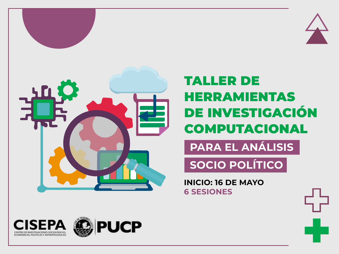



## **TALLER DE HERRAMIENTAS DE INVESTIGACIÓN COMPUTACIONAL**

**PARA EL ANÁLISIS** 

SOCIO POLÍTICO

**INICIO: 16 DE MAYO 6 SESIONES** 





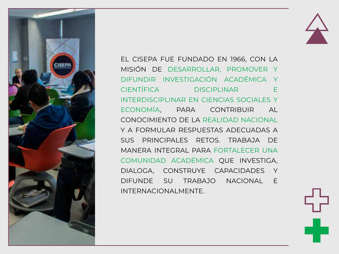



EL CISEPA FUE FUNDADO EN 1966, CON LA MISIÓN DE DESARROLLAR, PROMOVER Y DIFUNDIR INVESTIGACIÓN ACADÉMICA Y CIENTÍFICA DISCIPLINAR E INTERDISCIPLINAR EN CIENCIAS SOCIALES Y ECONOMÍA, PARA CONTRIBUIR AL CONOCIMIENTO DE LA REALIDAD NACIONAL Y A FORMULAR RESPUESTAS ADECUADAS A SUS PRINCIPALES RETOS. TRABAJA DE MANERA INTEGRAL PARA FORTALECER UNA COMUNIDAD ACADÉMICA QUE INVESTIGA, DIALOGA, CONSTRUYE CAPACIDADES Y DIFUNDE SU TRABAJO NACIONAL E INTERNACIONALMENTE.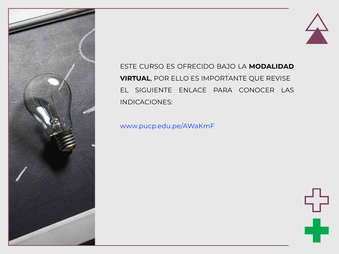



ESTE CURSO ES OFRECIDO BAJO LA **MODALIDAD VIRTUAL**, POR ELLO ES IMPORTANTE QUE REVISE EL SIGUIENTE ENLACE PARA CONOCER LAS INDICACIONES:

www.pucp.edu.pe/AWaKmF

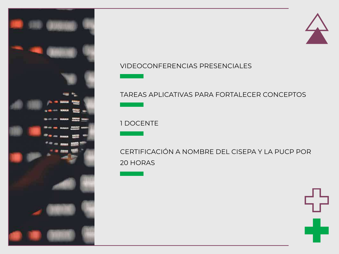



#### **VIDEOCONFERENCIAS PRESENCIALES**

#### TAREAS APLICATIVAS PARA FORTALECER CONCEPTOS

#### 1 DOCENTE

# CERTIFICACIÓN A NOMBRE DEL CISEPA Y LA PUCP POR

#### 20 HORAS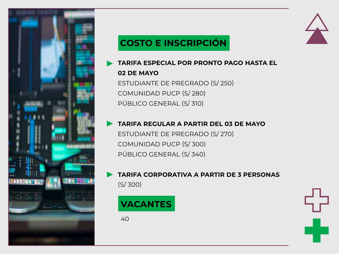

## **COSTO E INSCRIPCIÓN**



**TARIFA ESPECIAL POR PRONTO PAGO HASTA EL 02 DE MAYO**

ESTUDIANTE DE PREGRADO (S/ 250) COMUNIDAD PUCP (S/ 280) PÚBLICO GENERAL (S/ 310)

#### **TARIFA REGULAR A PARTIR DEL 03 DE MAYO**

ESTUDIANTE DE PREGRADO (S/ 270) COMUNIDAD PUCP (S/ 300) PÚBLICO GENERAL (S/ 340)

#### **TARIFA CORPORATIVA A PARTIR DE 3 PERSONAS** (S/ 300)

## **VACANTES**

40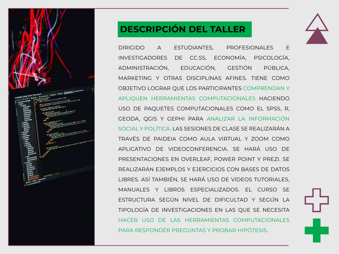

### **DESCRIPCIÓN DEL TALLER**



DIRIGIDO A ESTUDIANTES, PROFESIONALES E INVESTIGADORES DE CC.SS, ECONOMÍA, PSICOLOGÍA, ADMINISTRACIÓN, EDUCACIÓN, GESTIÓN PÚBLICA, MARKETING Y OTRAS DISCIPLINAS AFINES. TIENE COMO OBJETIVO LOGRAR QUE LOS PARTICIPANTES COMPRENDAN Y APLIQUEN HERRAMIENTAS COMPUTACIONALES HACIENDO USO DE PAQUETES COMPUTACIONALES COMO EL SPSS, R, GEODA, QGIS Y GEPHI PARA ANALIZAR LA INFORMACIÓN SOCIAL Y POLÍTICA. LAS SESIONES DE CLASE SE REALIZARÁN A TRAVÉS DE PAIDEIA COMO AULA VIRTUAL Y ZOOM COMO APLICATIVO DE VIDEOCONFERENCIA. SE HARÁ USO DE PRESENTACIONES EN OVERLEAF, POWER POINT Y PREZI. SE REALIZARÁN EJEMPLOS Y EJERCICIOS CON BASES DE DATOS LIBRES. ASÍ TAMBIÉN, SE HARÁ USO DE VIDEOS TUTORIALES, MANUALES Y LIBROS ESPECIALIZADOS. EL CURSO SE ESTRUCTURA SEGÚN NIVEL DE DIFICULTAD Y SEGÚN LA TIPOLOGÍA DE INVESTIGACIONES EN LAS QUE SE NECESITA HACER USO DE LAS HERRAMIENTAS COMPUTACIONALES PARA RESPONDER PREGUNTAS Y PROBAR HIPÓTESIS.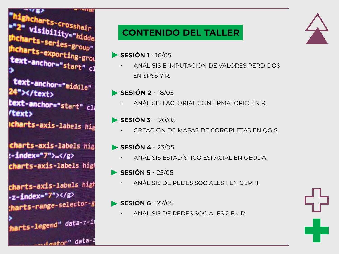ghcharts-crosshair<br>" Visiniii 2" visibility="hidde charts-series-group"<br>Charts-series-group" **Charts-exporting-group"**<br>**ext-anch** text-anchor="start" cl<br>>

text-anchor="middle" "></text> text-anchor="start" cl text> **Icharts-axis-labels hig** 

charts-axis-labels hig t-index="7">...</g> charts-axis-labels high

charts-axis-labels high  $-z$ -index="7"></g> tharts-range-selector-g

><br>:<mark>hart</mark>s-legend" data-z-i

<u>...iaator" data-</u>

## **CONTENIDO DEL TALLER**

- **SESIÓN 1**  16/05
	- ANÁLISIS E IMPUTACIÓN DE VALORES PERDIDOS EN SPSS Y R.
- **SESIÓN 2**  18/05
	- ANÁLISIS FACTORIAL CONFIRMATORIO EN R.
- **SESIÓN 3**  20/05
	- CREACIÓN DE MAPAS DE COROPLETAS EN QGIS.
- **SESIÓN 4**  23/05
	- ANÁLISIS ESTADÍSTICO ESPACIAL EN GEODA.
- **SESIÓN 5**  25/05
	- ANÁLISIS DE REDES SOCIALES 1 EN GEPHI.
- **SESIÓN 6 27/05** 
	- ANÁLISIS DE REDES SOCIALES 2 EN R.



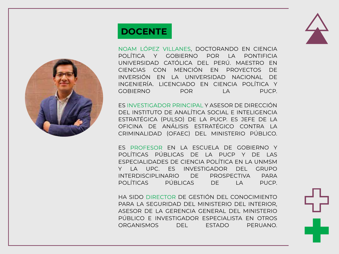

## **DOCENTE**



NOAM LÓPEZ VILLANES, DOCTORANDO EN CIENCIA POLÍTICA Y GOBIERNO POR LA PONTIFICIA UNIVERSIDAD CATÓLICA DEL PERÚ. MAESTRO EN CIENCIAS CON MENCIÓN EN PROYECTOS DE INVERSIÓN EN LA UNIVERSIDAD NACIONAL DE INGENIERÍA. LICENCIADO EN CIENCIA POLÍTICA Y GOBIERNO POR LA PUCP.

ES INVESTIGADOR PRINCIPAL Y ASESOR DE DIRECCIÓN DEL INSTITUTO DE ANALÍTICA SOCIAL E INTELIGENCIA ESTRATÉGICA (PULSO) DE LA PUCP. ES JEFE DE LA OFICINA DE ANÁLISIS ESTRATÉGICO CONTRA LA CRIMINALIDAD (OFAEC) DEL MINISTERIO PÚBLICO.

ES PROFESOR EN LA ESCUELA DE GOBIERNO Y POLÍTICAS PÚBLICAS DE LA PUCP Y DE LAS ESPECIALIDADES DE CIENCIA POLÍTICA EN LA UNMSM Y LA UPC. ES INVESTIGADOR DEL GRUPO INTERDISCIPLINARIO DE PROSPECTIVA PARA POLÍTICAS PÚBLICAS DE LA PUCP.

HA SIDO DIRECTOR DE GESTIÓN DEL CONOCIMIENTO PARA LA SEGURIDAD DEL MINISTERIO DEL INTERIOR, ASESOR DE LA GERENCIA GENERAL DEL MINISTERIO PÚBLICO E INVESTIGADOR ESPECIALISTA EN OTROS ORGANISMOS DEL ESTADO PERUANO.